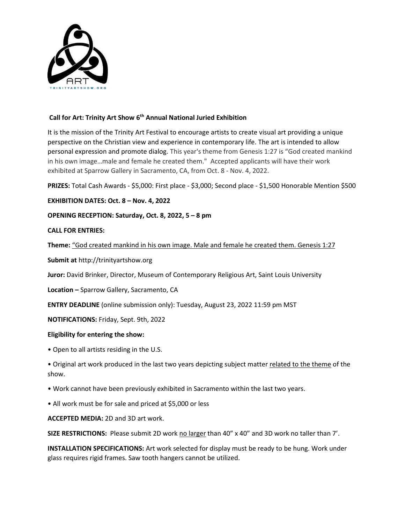

# **Call for Art: Trinity Art Show 6 th Annual National Juried Exhibition**

It is the mission of the Trinity Art Festival to encourage artists to create visual art providing a unique perspective on the Christian view and experience in contemporary life. The art is intended to allow personal expression and promote dialog. This year's theme from Genesis 1:27 is "God created mankind in his own image…male and female he created them." Accepted applicants will have their work exhibited at Sparrow Gallery in Sacramento, CA, from Oct. 8 - Nov. 4, 2022.

**PRIZES:** Total Cash Awards - \$5,000: First place - \$3,000; Second place - \$1,500 Honorable Mention \$500

# **EXHIBITION DATES: Oct. 8 – Nov. 4, 2022**

### **OPENING RECEPTION: Saturday, Oct. 8, 2022, 5 – 8 pm**

### **CALL FOR ENTRIES:**

**Theme:** "God created mankind in his own image. Male and female he created them. Genesis 1:27

**Submit at** http://trinityartshow.org

**Juror:** David Brinker, Director, Museum of Contemporary Religious Art, Saint Louis University

**Location –** Sparrow Gallery, Sacramento, CA

**ENTRY DEADLINE** (online submission only): Tuesday, August 23, 2022 11:59 pm MST

**NOTIFICATIONS:** Friday, Sept. 9th, 2022

#### **Eligibility for entering the show:**

• Open to all artists residing in the U.S.

• Original art work produced in the last two years depicting subject matter related to the theme of the show.

• Work cannot have been previously exhibited in Sacramento within the last two years.

• All work must be for sale and priced at \$5,000 or less

**ACCEPTED MEDIA:** 2D and 3D art work.

**SIZE RESTRICTIONS:** Please submit 2D work no larger than 40" x 40" and 3D work no taller than 7'.

**INSTALLATION SPECIFICATIONS:** Art work selected for display must be ready to be hung. Work under glass requires rigid frames. Saw tooth hangers cannot be utilized.